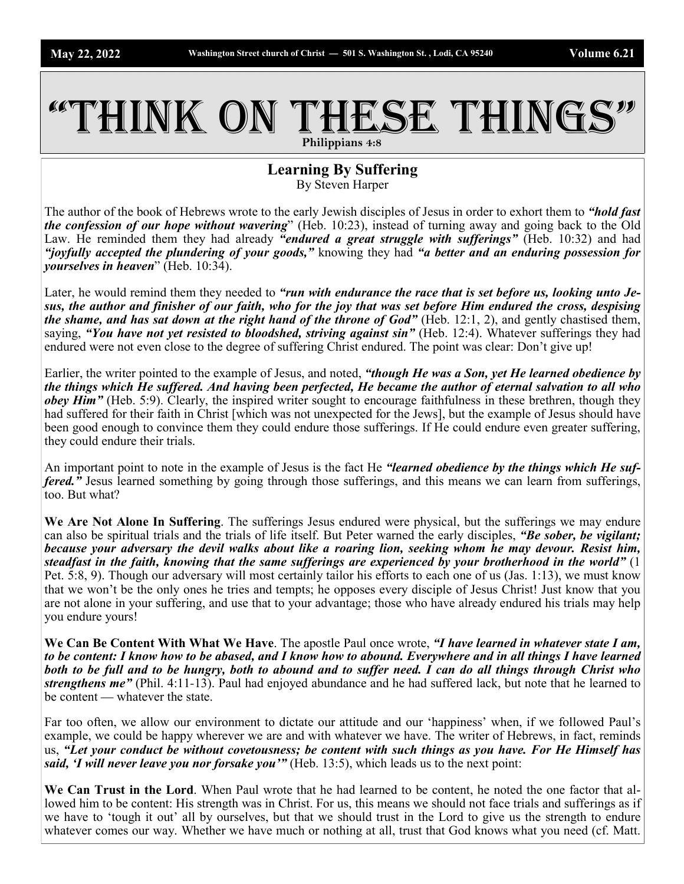## THINK ON THESE THINGS **Philippians 4:8**

**Learning By Suffering**

By Steven Harper

The author of the book of Hebrews wrote to the early Jewish disciples of Jesus in order to exhort them to *"hold fast the confession of our hope without wavering*" (Heb. 10:23), instead of turning away and going back to the Old Law. He reminded them they had already *"endured a great struggle with sufferings"* (Heb. 10:32) and had *"joyfully accepted the plundering of your goods,"* knowing they had *"a better and an enduring possession for yourselves in heaven*" (Heb. 10:34).

Later, he would remind them they needed to "run with endurance the race that is set before us, looking unto Je*sus, the author and finisher of our faith, who for the joy that was set before Him endured the cross, despising the shame, and has sat down at the right hand of the throne of God"* (Heb. 12:1, 2), and gently chastised them, saying, "You have not yet resisted to bloodshed, striving against sin" (Heb. 12:4). Whatever sufferings they had endured were not even close to the degree of suffering Christ endured. The point was clear: Don't give up!

Earlier, the writer pointed to the example of Jesus, and noted, *"though He was a Son, yet He learned obedience by the things which He suffered. And having been perfected, He became the author of eternal salvation to all who obey Him"* (Heb. 5:9). Clearly, the inspired writer sought to encourage faithfulness in these brethren, though they had suffered for their faith in Christ [which was not unexpected for the Jews], but the example of Jesus should have been good enough to convince them they could endure those sufferings. If He could endure even greater suffering, they could endure their trials.

An important point to note in the example of Jesus is the fact He *"learned obedience by the things which He suffered.*" Jesus learned something by going through those sufferings, and this means we can learn from sufferings, too. But what?

**We Are Not Alone In Suffering**. The sufferings Jesus endured were physical, but the sufferings we may endure can also be spiritual trials and the trials of life itself. But Peter warned the early disciples, *"Be sober, be vigilant; because your adversary the devil walks about like a roaring lion, seeking whom he may devour. Resist him, steadfast in the faith, knowing that the same sufferings are experienced by your brotherhood in the world"* (1 Pet. 5:8, 9). Though our adversary will most certainly tailor his efforts to each one of us (Jas. 1:13), we must know that we won't be the only ones he tries and tempts; he opposes every disciple of Jesus Christ! Just know that you are not alone in your suffering, and use that to your advantage; those who have already endured his trials may help you endure yours!

**We Can Be Content With What We Have**. The apostle Paul once wrote, *"I have learned in whatever state I am, to be content: I know how to be abased, and I know how to abound. Everywhere and in all things I have learned both to be full and to be hungry, both to abound and to suffer need. I can do all things through Christ who strengthens me"* (Phil. 4:11-13). Paul had enjoyed abundance and he had suffered lack, but note that he learned to be content — whatever the state.

Far too often, we allow our environment to dictate our attitude and our 'happiness' when, if we followed Paul's example, we could be happy wherever we are and with whatever we have. The writer of Hebrews, in fact, reminds us, *"Let your conduct be without covetousness; be content with such things as you have. For He Himself has said, I will never leave you nor forsake you*" (Heb. 13:5), which leads us to the next point:

**We Can Trust in the Lord**. When Paul wrote that he had learned to be content, he noted the one factor that allowed him to be content: His strength was in Christ. For us, this means we should not face trials and sufferings as if we have to 'tough it out' all by ourselves, but that we should trust in the Lord to give us the strength to endure whatever comes our way. Whether we have much or nothing at all, trust that God knows what you need (cf. Matt.